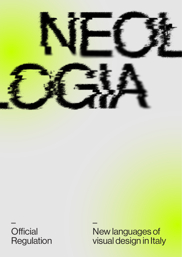

– **Official** Regulation – New languages of visual design in Italy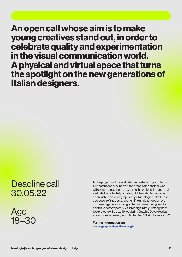An open call whose aim is to make young creatives stand out, in order to celebrate quality and experimentation in the visual communication world. A physical and virtual space that turns the spotlight on the new generations of Italian designers.

# Deadline call 30.05.22

— Age 18–30

All the projects will be evaluated and selected by an internal jury, composed of experts in the graphic design field, who will contact the authors to examine the projects in depth and evaluate the potential publishing. All the selected works will be published on www.graphicdays.it/neologia that will host a selection of the best artworks. The aim is to keep an eye on the new generations of graphic and visual designers to celebrate contemporary visual design in Italy. Among these, 100 projects will be exhibited during Graphic Days® festival edition number seven, from September 17 to October 2 2022.

Further information on: www. graphicdays.it/neologia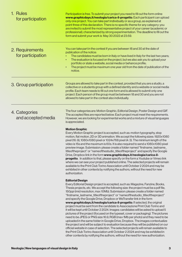| 1. Rules<br>for participation        | Participation is free. To submit your project you need to fill out the form online<br>www.graphicdays.it/neologia/carica-il-progetto. Each participant can upload<br>only one project. You can take part individually or as a group, as explained at<br>point three of this declaration. There is no specific theme for any category: you<br>are invited to submit the most representative project of your career (academic or<br>professional), characterized by strong experimentation. The deadline to fill out the<br>form and submit your work is May 30 2022 at 23:59.                                                                                                                                                                                                                                                                                                                                                                                                                                                                                                                                                                                                                                                                                                                                |
|--------------------------------------|-------------------------------------------------------------------------------------------------------------------------------------------------------------------------------------------------------------------------------------------------------------------------------------------------------------------------------------------------------------------------------------------------------------------------------------------------------------------------------------------------------------------------------------------------------------------------------------------------------------------------------------------------------------------------------------------------------------------------------------------------------------------------------------------------------------------------------------------------------------------------------------------------------------------------------------------------------------------------------------------------------------------------------------------------------------------------------------------------------------------------------------------------------------------------------------------------------------------------------------------------------------------------------------------------------------|
| 2. Requirements<br>for participation | You can take part in the contest if you are between 18 and 30 at the date of<br>publication of the notice:<br>The candidates must be born in Italy or have lived in Italy for the last two years;<br>The evaluation is focused on the project, but we also ask you to upload your<br>$\bullet$<br>portfolio or state a website, social media or behance profile;<br>The project must be maximum one year old from the date of publication of the<br>$\bullet$<br>notice.                                                                                                                                                                                                                                                                                                                                                                                                                                                                                                                                                                                                                                                                                                                                                                                                                                    |
| 3. Group participation               | Groups are allowed to take part in the contest, provided that you are a studio, a<br>collective or a students group with a defined identity and a website or social media<br>profile. Each team needs to fill out one form and is allowed to submit only one<br>project. Each person of the group must be between 18 and 30 and you are not<br>allowed to take part in the contest also individually.                                                                                                                                                                                                                                                                                                                                                                                                                                                                                                                                                                                                                                                                                                                                                                                                                                                                                                       |
| 4. Categories<br>and accepted media  | The four categories are: Motion Graphic, Editorial Design, Poster Design and GIF.<br>The accepted files are reported below. Each project must meet the requirements.<br>However, we are looking for experimental works and a mixture of visual languages<br>is appreciated.                                                                                                                                                                                                                                                                                                                                                                                                                                                                                                                                                                                                                                                                                                                                                                                                                                                                                                                                                                                                                                 |
|                                      | <b>Motion Graphic</b><br>Every Motion Graphic project is accepted, such as: motion typography, stop<br>motion, flat motion, 2D or 3D animation. We accept the following sizes: 1920x1080<br>pixel (16: 9), 1080x1080 pixel or 1024x768 pixel (4: 3). The minimum length of the<br>video is 15s and the maximum is 60s. It is also required to send a 1080x1080 pixel<br>preview image. Submission: please create a folder named "firstname_lastname_<br>titleoftheproject" or "nameofthestudio_titleoftheproject" and specify the Google<br>Drive, Dropbox link in the form www.graphicdays.it/neologia/carica-il-<br>progetto. In addition to that, please specify on the form a Youtube or Vimeo link<br>where we can see your project published online. The selected projects will remain<br>available to the Print Club Torino Association until October 2 2024 and may be<br>exhibited in other contexts by notifying the authors, without the need for new<br>authorization.                                                                                                                                                                                                                                                                                                                          |
|                                      | <b>Editorial Design</b><br>Every Editorial Design project is accepted, such as: Magazine, Fanzine, Books,<br>Thesis projects, etc. We accept the following size: the project must be a pdf file,<br>150ppi (mid resolution, max 10Mb). Submission: please create a folder named<br>"firstname_lastname_titleoftheproject" or "nameofthestudio_titleoftheproject"<br>and specify the Google Drive, Dropbox or WeTransfer link in the form<br>www.graphicdays.it/neologia/carica-il-progetto. If selected, the original<br>project must be sent from the candidate to Associazione Print Club Torino and<br>it will be kept until October 2 2024. Images: candidates will be asked to upload 5<br>pictures of the project (focused on the typeset, cover or packaging). The pictures<br>need to be JPEG or PNG size 16:9, RGB (max 1Mb per photo) and they need to be<br>uploaded in the same folder in Google Drive, Dropbox. The images contextualize<br>the project and will be subject to evaluation because they will be published on our<br>official website in case of selection. The selected projects will remain available to<br>the Print Club Torino Association until October 2 2024 and may be exhibited in<br>other contexts by notifying the authors, without the need for new authorization. |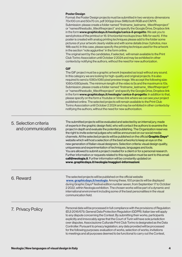#### Poster Design

| Format: the Poster Design projects must be submitted in two versions: dimensions    |
|-------------------------------------------------------------------------------------|
| 70x100 cm and 50x70 cm, pdf 300ppi (max 5Mb) both RGB and CMYK.                     |
| Submission: please create a folder named "firstname lastname titleoftheproject"     |
| or "nameofthestudio titleoftheproject" and specify the Google Drive, Dropbox link   |
| in the form www.graphicdays.it/neologia/carica-il-progetto. We ask you to           |
| send photos of the printout or 16: 9 horizontal mockups (max 1Mb for each). If the  |
| poster is created with analog printing techniques please add to the folder some     |
| pictures of your artwork clearly visible and with some details (max 3 photos, max   |
| 1Mb each). In this case, please specify the printing technique used for the artwork |
| in the section "note aggiuntive" in the form online.                                |
|                                                                                     |

The original sent by the candidates, if selected, will remain available to the Print Club Torino Association until October 2 2024 and may be exhibited in other contexts by notifying the authors, without the need for new authorization.

#### **GIF**

The GIF project must be a graphic artwork (repeated as loop) without any sound. In this category we are looking for high-quality and original projects. It is also required to send a 1080x1080 pixel preview image. We accept the following size: 1080x1080pixels. The minimum length of the video is 5s and the maximum is 10s. Submission: please create a folder named "firstname\_lastname\_titleoftheproject" or "nameofthestudio\_titleoftheproject" and specify the Google Drive, Dropbox link in the form www.graphicdays.it/neologia/ carica-il-progetto. In addition to that, please specify on the form a Youtube or Vimeo link where we can see your project published online. The selected projects will remain available to the Print Club Torino Association until October 2 2024 and may be exhibited in other contexts by notifying the authors, without the need for new authorization.

## Selection criteria 5. and communications

The submitted projects will be evaluated and selected by an internal jury, made of experts in the graphic design field, who will contact the authors to examine the project in depth and evaluate the potential publishing. The Organization reserves the right to invite external judges who will be announced on our social media channels. All the selected projects will be published on the official Graphic Days<sup>®</sup> website which will host a selection of the best artworks to keep an eye on the new generation of Italian visual designers. Selection criteria: visual design quality, uniqueness and experimentation of techniques, languages and tools. You are allowed to submit a project created for a client or for a personal research. Further information or requests related to this regulation must be sent to this email: call@neologia.it. Further information will be constantly updated on www. graphicdays.it/neologia/maggiori-informazioni.

6. Reward

The selected projects will be published on the official website www. graphicdays.it/neologia. Among these, 100 projects will be displayed during Graphic Days® festival edition number seven, from September 17 to October 2 2022, within Neologia exhibition. The chosen works will be part of a dynamic and international environment including some of the best personalities in the visual communication field.

#### 7. Privacy Policy

Personal data will be processed in full compliance with the provisions of Regulation (EU) 2016/679, General Data Protection Regulation (GDPR). Italian law will apply to any dispute concerning the Contest. By submitting their works, participants explicitly and irrevocably agree that the Court of Turin will have sole jurisdiction over disputes. Associazione Culturale Print Club Torino is designated as the Data Controller. Pursuant to privacy legislation, any data provided will be processed for the following purposes: evaluation of works, selection of works, invitations to meetings and all purposes deemed to be functional to carry out the Contest,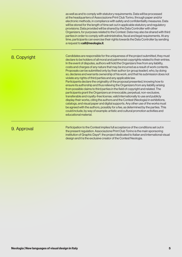as well as and to comply with statutory requirements. Data will be processed at the headquarters of Associazione Print Club Torino, through paper and/or electronic methods, in compliance with safety and confidentiality measures. Data will be stored for the length of time set out in applicable statutory and regulatory provisions. Data provided will be shared by the Data Controller with other Organizers, for purposes related to the Contest. Data may also be shared with third parties in order to comply with administrative, fiscal and legal requirements. At any time, participants can exercise their rights towards the Data Controller by sending a request to call@neologia.it.

### 8. Copyright

Candidates are responsible for the uniqueness of the project submitted, they must declare to be holders of all moral and patrimonial copyrights related to their entries. In the event of disputes, authors will hold the Organizers free from any liability, costs and charges of any nature that may be incurred as a result of work contents. Proposals can be submitted only by their author (or group leader), who, by doing so, declares and warrants ownership of his work, and that his submission does not violate any rights of third parties and any applicable law. Participants declare the originality of the proposal presented, knowing how to ensure its authorship and thus relieving the Organizers from any liability arising from possible claims to third parties in the field of copyright and related. The participants grant the Organizers an irrevocable, perpetual, non-exclusive, transferable and royalty-free license, valid internationally to use and publicly

display their works, citing the authors and the Contest (Neologia) in exhibitions, catalogs, and visual paper and digital supports. Any other use of the works must be agreed with the authors, possibly for a fee, as determined by the parties. This could include, by way of example: artistic and cultural promotion activities and educational material.

#### 9. Approval

Participation to the Contest implies full acceptance of the conditions set out in the present regulation. Associazione Print Club Torino is the main sponsoring institution of Graphic Days®, the project dedicated to Italian and international visual design and it is the exclusive creator of the Contest Neologia.